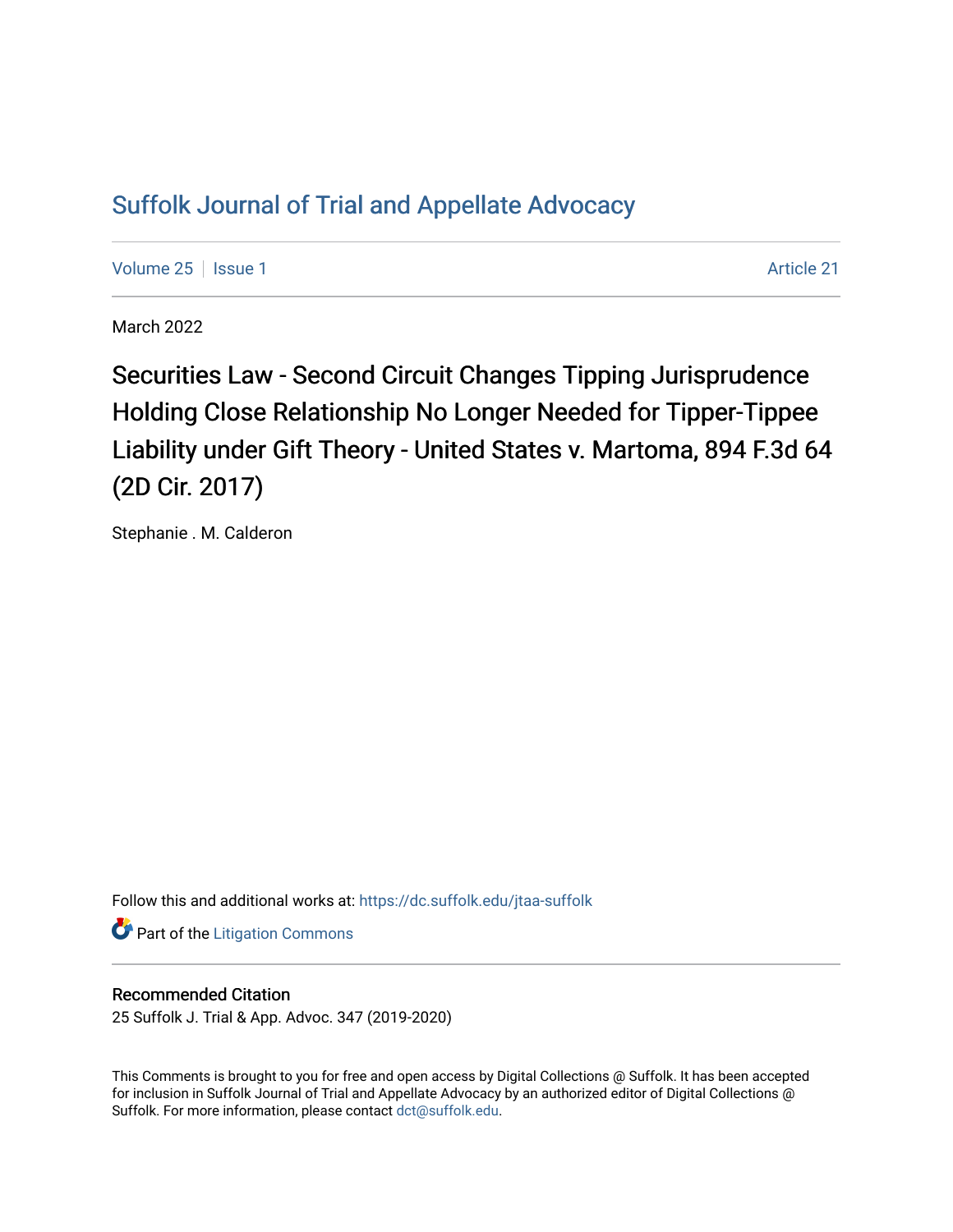# [Suffolk Journal of Trial and Appellate Advocacy](https://dc.suffolk.edu/jtaa-suffolk)

[Volume 25](https://dc.suffolk.edu/jtaa-suffolk/vol25) | [Issue 1](https://dc.suffolk.edu/jtaa-suffolk/vol25/iss1) Article 21

March 2022

Securities Law - Second Circuit Changes Tipping Jurisprudence Holding Close Relationship No Longer Needed for Tipper-Tippee Liability under Gift Theory - United States v. Martoma, 894 F.3d 64 (2D Cir. 2017)

Stephanie . M. Calderon

Follow this and additional works at: [https://dc.suffolk.edu/jtaa-suffolk](https://dc.suffolk.edu/jtaa-suffolk?utm_source=dc.suffolk.edu%2Fjtaa-suffolk%2Fvol25%2Fiss1%2F21&utm_medium=PDF&utm_campaign=PDFCoverPages) 

**Part of the [Litigation Commons](https://network.bepress.com/hgg/discipline/910?utm_source=dc.suffolk.edu%2Fjtaa-suffolk%2Fvol25%2Fiss1%2F21&utm_medium=PDF&utm_campaign=PDFCoverPages)** 

## Recommended Citation

25 Suffolk J. Trial & App. Advoc. 347 (2019-2020)

This Comments is brought to you for free and open access by Digital Collections @ Suffolk. It has been accepted for inclusion in Suffolk Journal of Trial and Appellate Advocacy by an authorized editor of Digital Collections @ Suffolk. For more information, please contact [dct@suffolk.edu.](mailto:dct@suffolk.edu)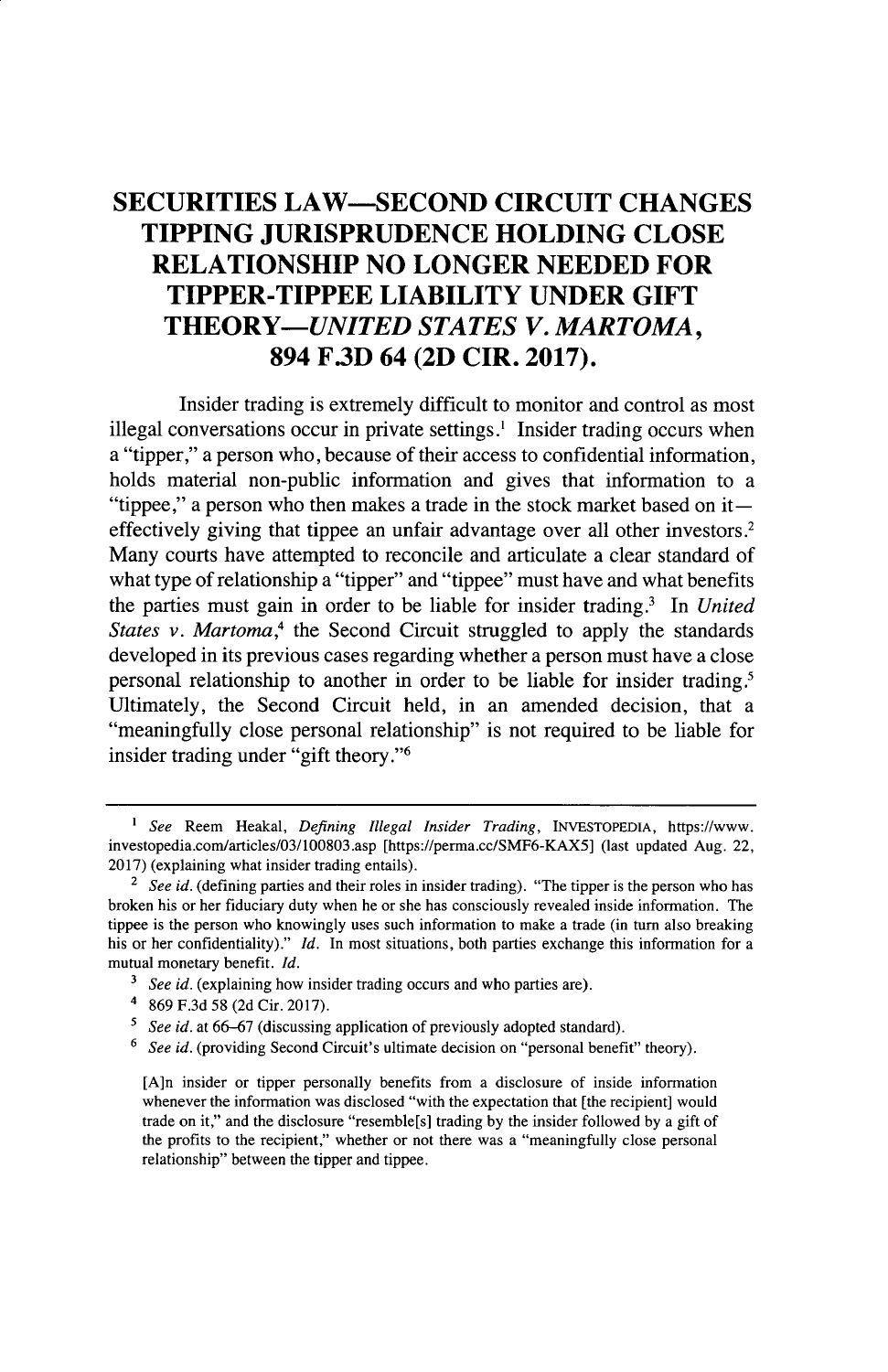## **SECURITIES LAW-SECOND CIRCUIT CHANGES TIPPING JURISPRUDENCE HOLDING CLOSE RELATIONSHIP NO LONGER NEEDED FOR TIPPER-TIPPEE LIABILITY UNDER GIFT** *THEORY-UNITED STATES V. MARTOMA,* **894 F3D 64 (2D CIR. 2017).**

Insider trading is extremely difficult to monitor and control as most illegal conversations occur in private settings.<sup>1</sup> Insider trading occurs when a "tipper," a person who, because of their access to confidential information, holds material non-public information and gives that information to a "tippee," a person who then makes a trade in the stock market based on iteffectively giving that tippee an unfair advantage over all other investors.2 Many courts have attempted to reconcile and articulate a clear standard of what type of relationship a "tipper" and "tippee" must have and what benefits the parties must gain in order to be liable for insider trading.' In *United States v. Martoma,4* the Second Circuit struggled to apply the standards developed in its previous cases regarding whether a person must have a close personal relationship to another in order to be liable for insider trading.' Ultimately, the Second Circuit held, in an amended decision, that a "meaningfully close personal relationship" is not required to be liable for insider trading under "gift theory."6

*<sup>1</sup> See* Reem Heakal, *Defining Illegal Insider Trading,* **INVESTOPEDIA,** https://www. investopedia.com/articles/03/100803.asp [https://perma.cc/SMF6-KAX5] (last updated Aug. 22, **2017)** (explaining what insider trading entails).

*<sup>2</sup> See id.* (defining parties and their roles in insider trading). "The tipper is the person who has broken his or her fiduciary duty when he or she has consciously revealed inside information. **The** tippee is the person who knowingly uses such information to make a trade (in turn also breaking his or her confidentiality)." *Id.* In most situations, both parties exchange this information for a mutual monetary benefit. *Id.*

<sup>&</sup>lt;sup>3</sup> *See id.* (explaining how insider trading occurs and who parties are).

<sup>4</sup> **869 F.3d 58 (2d** Cir. **2017).**

*<sup>5</sup> See id.* at **66-67** (discussing application of previously adopted standard).

<sup>&</sup>lt;sup>6</sup> *See id.* (providing Second Circuit's ultimate decision on "personal benefit" theory).

<sup>[</sup>A]n insider or tipper personally benefits from a disclosure of inside information whenever the information was disclosed "with the expectation that [the recipient] would trade on it," and the disclosure "resemble[s] trading **by** the insider followed **by** a gift of the profits to the recipient," whether or not there was a "meaningfully close personal relationship" between the tipper and tippee.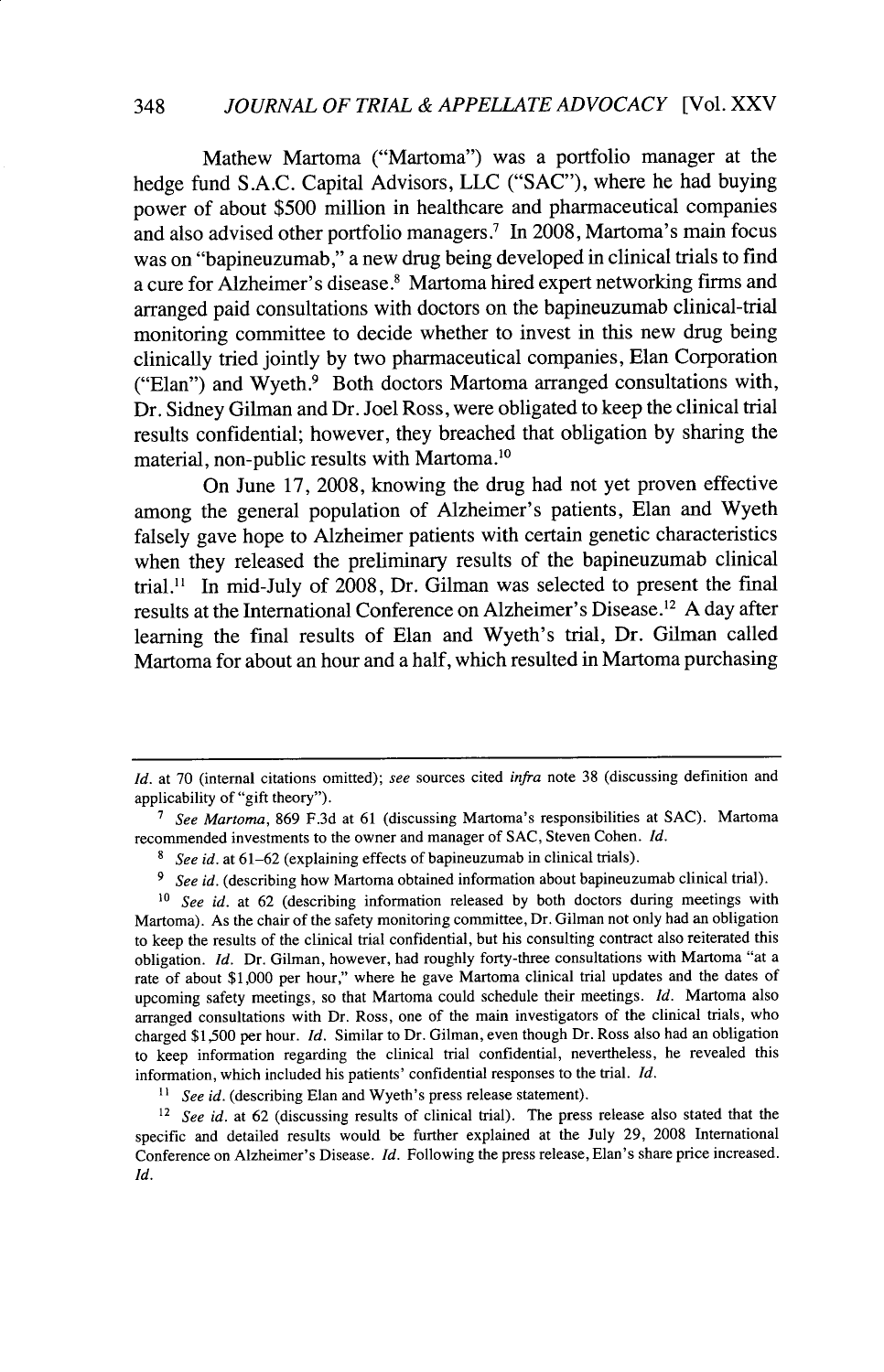Mathew Martoma ("Martoma") was a portfolio manager at the hedge fund S.A.C. Capital Advisors, LLC ("SAC"), where he had buying power of about \$500 million in healthcare and pharmaceutical companies and also advised other portfolio managers.<sup>7</sup> In 2008, Martoma's main focus was on "bapineuzumab," a new drug being developed in clinical trials to find a cure for Alzheimer's disease.<sup>8</sup> Martoma hired expert networking firms and arranged paid consultations with doctors on the bapineuzumab clinical-trial monitoring committee to decide whether to invest in this new drug being clinically tried jointly by two pharmaceutical companies, Elan Corporation ("Elan") and Wyeth.<sup>9</sup> Both doctors Martoma arranged consultations with, Dr. Sidney Gilman and Dr. Joel Ross, were obligated to keep the clinical trial results confidential; however, they breached that obligation by sharing the material, non-public results with Martoma. <sup>10</sup>

On June 17, 2008, knowing the drug had not yet proven effective among the general population of Alzheimer's patients, Elan and Wyeth falsely gave hope to Alzheimer patients with certain genetic characteristics when they released the preliminary results of the bapineuzumab clinical trial." In mid-July of 2008, Dr. Gilman was selected to present the final results at the International Conference on Alzheimer's Disease.<sup>12</sup> A day after learning the final results of Elan and Wyeth's trial, Dr. Gilman called Martoma for about an hour and a half, which resulted in Martoma purchasing

*Id.* at 70 (internal citations omitted); see sources cited *infra* note 38 (discussing definition and applicability of "gift theory").

**<sup>7</sup>***See Martoma,* 869 F.3d at 61 (discussing Martoma's responsibilities at SAC). Martoma recommended investments to the owner and manager of SAC, Steven Cohen. *Id.*

**<sup>8</sup>** *See id.* at 61-62 (explaining effects of bapineuzumab in clinical trials).

**<sup>9</sup>** *See id.* (describing how Martoma obtained information about bapineuzumab clinical trial).

**<sup>1</sup>o** *See id.* at 62 (describing information released by both doctors during meetings with Martoma). As the chair of the safety monitoring committee, Dr. Gilman not only had an obligation to keep the results of the clinical trial confidential, but his consulting contract also reiterated this obligation. *Id.* Dr. Gilman, however, had roughly forty-three consultations with Martoma "at a rate of about \$1,000 per hour," where he gave Martoma clinical trial updates and the dates of upcoming safety meetings, so that Martoma could schedule their meetings. *Id.* Martoma also arranged consultations with Dr. Ross, one of the main investigators of the clinical trials, who charged \$1,500 per hour. *Id.* Similar to Dr. Gilman, even though Dr. Ross also had an obligation to keep information regarding the clinical trial confidential, nevertheless, he revealed this information, which included his patients' confidential responses to the trial. *Id.*

<sup>&</sup>lt;sup>11</sup> *See id.* (describing Elan and Wyeth's press release statement).

<sup>&</sup>lt;sup>12</sup> See id. at 62 (discussing results of clinical trial). The press release also stated that the specific and detailed results would be further explained at the July 29, 2008 International Conference on Alzheimer's Disease. *Id.* Following the press release, Elan's share price increased.Id.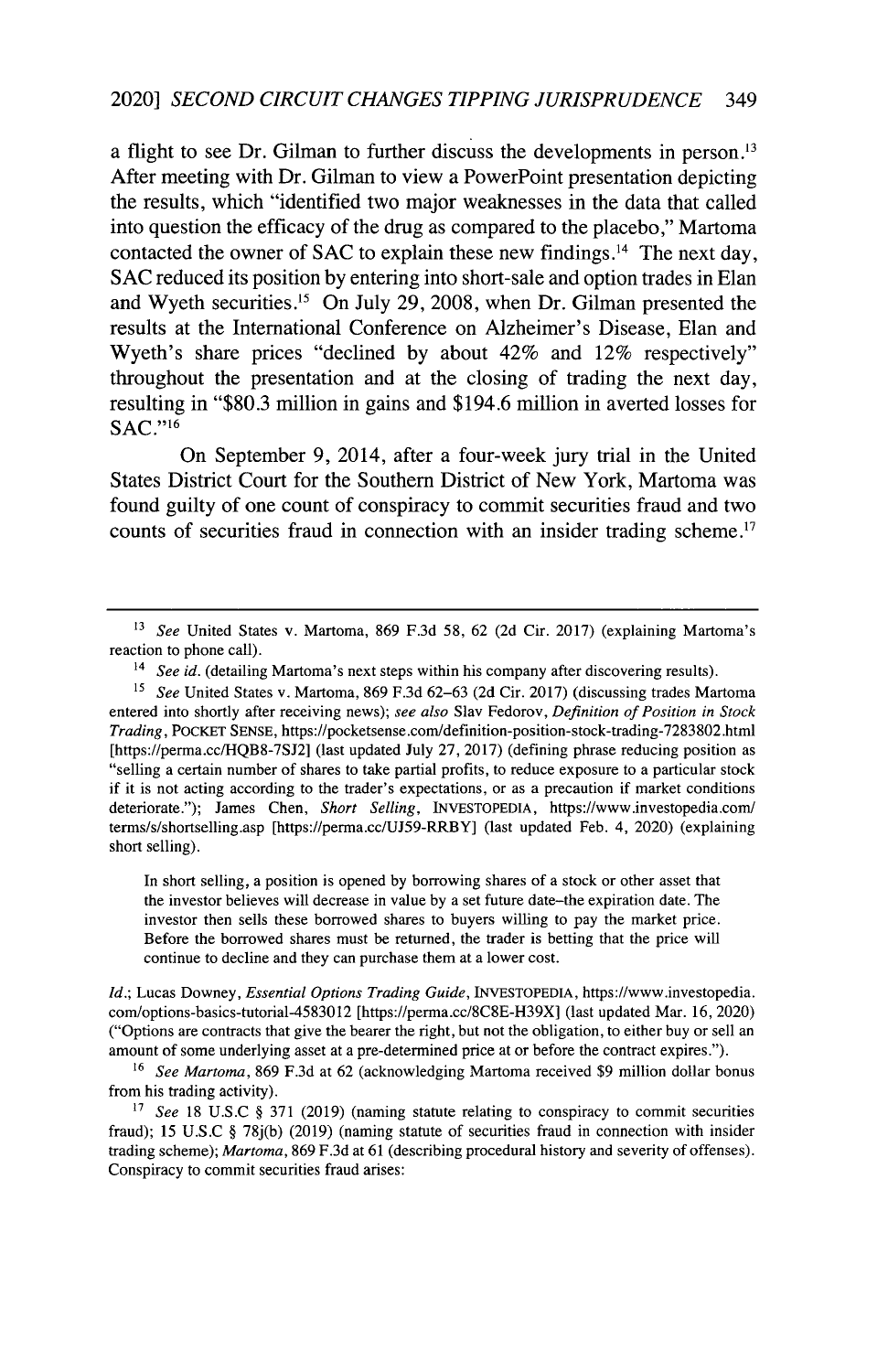a flight to see Dr. Gilman to further discuss the developments in person.<sup>13</sup> After meeting with Dr. Gilman to view a PowerPoint presentation depicting the results, which "identified two major weaknesses in the data that called into question the efficacy of the drug as compared to the placebo," Martoma contacted the owner of SAC to explain these new findings.<sup>14</sup> The next day, **SAC** reduced its position **by** entering into short-sale and option trades in Elan and Wyeth securities.<sup>15</sup> On July 29, 2008, when Dr. Gilman presented the results at the International Conference on Alzheimer's Disease, Elan and Wyeth's share prices "declined **by** about 42% and 12% respectively" throughout the presentation and at the closing of trading the next day, resulting in **"\$80.3** million in gains and \$194.6 million in averted losses for  $SAC."$ <sup>16</sup>

On September **9,** 2014, after a four-week jury trial in the United States District Court for the Southern District of New York, Martoma was found guilty of one count of conspiracy to commit securities fraud and two counts of securities fraud in connection with an insider trading scheme.<sup>17</sup>

In short selling, a position is opened by borrowing shares of a stock or other asset that the investor believes will decrease in value by a set future date-the expiration date. The investor then sells these borrowed shares to buyers willing to pay the market price. Before the borrowed shares must be returned, the trader is betting that the price will continue to decline and they can purchase them at a lower cost.

*Id.;* Lucas Downey, *Essential Options Trading Guide,* INVESTOPEDIA, https://www.investopedia. com/options-basics-tutorial-4583012 [https://perma.cc/8C8E-H39X] (last updated Mar. 16, 2020) ("Options are contracts that give the bearer the right, but not the obligation, to either buy or sell an amount of some underlying asset at a pre-determined price at or before the contract expires.").

<sup>16</sup>*See Martoma,* 869 F.3d at 62 (acknowledging Martoma received \$9 million dollar bonus from his trading activity).

<sup>17</sup> See 18 U.S.C § 371 (2019) (naming statute relating to conspiracy to commit securities fraud); 15 U.S.C § 78j(b) (2019) (naming statute of securities fraud in connection with insider trading scheme); *Martoma,* 869 F.3d at 61 (describing procedural history and severity of offenses). Conspiracy to commit securities fraud arises:

**<sup>13</sup>***See* United States v. Martoma, 869 F.3d 58, 62 (2d Cir. 2017) (explaining Martoma's reaction to phone call).

<sup>&</sup>lt;sup>14</sup> See id. (detailing Martoma's next steps within his company after discovering results).

**<sup>15</sup>***See* United States v. Martoma, 869 F.3d 62-63 (2d Cir. 2017) (discussing trades Martoma entered into shortly after receiving news); *see also* Slav Fedorov, *Definition of Position in Stock Trading,* POCKET SENSE, https://pocketsense.com/definition-position-stock-trading-7283802.html [https://perma.cc/HQB8-7SJ2] (last updated July 27, 2017) (defining phrase reducing position as "selling a certain number of shares to take partial profits, to reduce exposure to a particular stock if it is not acting according to the trader's expectations, or as a precaution if market conditions deteriorate."); James Chen, *Short Selling,* INVESTOPEDIA, https://www.investopedia.com/ terms/s/shortselling.asp [https://perma.cc/UJ59-RRBY] (last updated Feb. 4, 2020) (explaining short selling).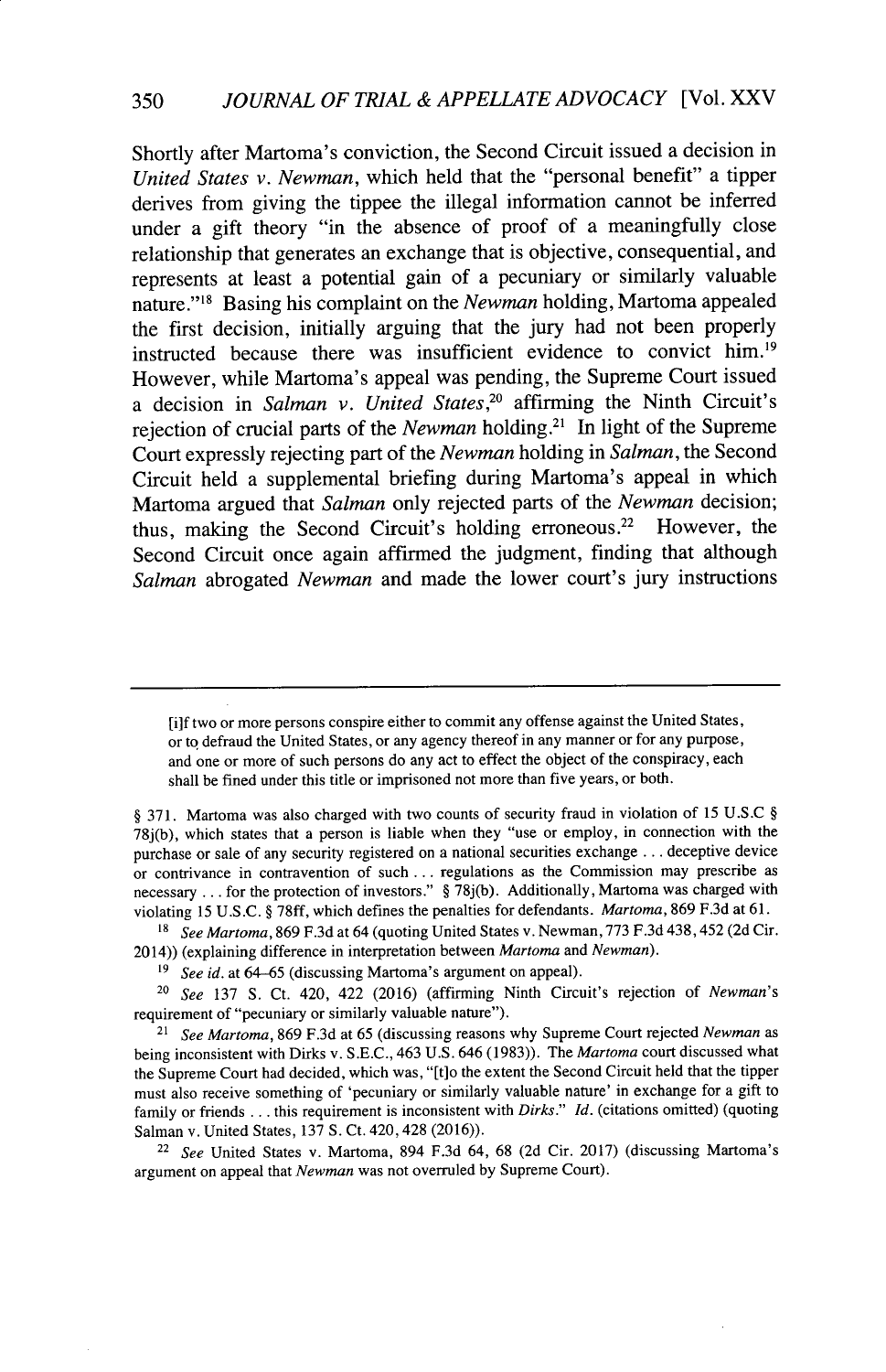Shortly after Martoma's conviction, the Second Circuit issued a decision in *United States v. Newman,* which held that the "personal benefit" a tipper derives from giving the tippee the illegal information cannot be inferred under a gift theory "in the absence of proof of a meaningfully close relationship that generates an exchange that is objective, consequential, and represents at least a potential gain of a pecuniary or similarly valuable nature."<sup>18</sup> Basing his complaint on the *Newman* holding, Martoma appealed the first decision, initially arguing that the jury had not been properly instructed because there was insufficient evidence to convict him.<sup>19</sup> However, while Martoma's appeal was pending, the Supreme Court issued a decision in *Salman v. United States,"* affirming the Ninth Circuit's rejection of crucial parts of the *Newman* holding.<sup>21</sup> In light of the Supreme Court expressly rejecting part of the *Newman* holding in *Salman,* the Second Circuit held a supplemental briefing during Martoma's appeal in which Martoma argued that *Salman* only rejected parts of the *Newman* decision; thus, making the Second Circuit's holding erroneous.<sup>22</sup> However, the Second Circuit once again affirmed the judgment, finding that although *Salman* abrogated *Newman* and made the lower court's jury instructions

**18** *See Martoma,* 869 F.3d at 64 (quoting United States v. Newman, 773 F.3d 438,452 (2d Cir. 2014)) (explaining difference in interpretation between *Martoma* and *Newman).*

<sup>20</sup>*See* 137 **S.** Ct. 420, 422 (2016) (affirming Ninth Circuit's rejection of *Newman's* requirement of "pecuniary or similarly valuable nature").

<sup>21</sup>*See Martoma,* 869 F.3d at 65 (discussing reasons why Supreme Court rejected *Newman as* being inconsistent with Dirks v. S.E.C., 463 U.S. 646 (1983)). The *Martoma* court discussed what the Supreme Court had decided, which was, "[t]o the extent the Second Circuit held that the tipper must also receive something of 'pecuniary or similarly valuable nature' in exchange for a gift to family or friends **...** this requirement is inconsistent with *Dirks." Id.* (citations omitted) (quoting Salman v. United States, 137 S. Ct. 420, 428 (2016)).

<sup>22</sup>*See* United States v. Martoma, 894 F.3d 64, 68 (2d Cir. 2017) (discussing Martoma's argument on appeal that *Newman* was not overruled by Supreme Court).

<sup>[</sup>ilf two or more persons conspire either to commit any offense against the United States, or to defraud the United States, or any agency thereof in any manner or for any purpose, and one or more of such persons do any act to effect the object of the conspiracy, each shall be fined under this title or imprisoned not more than five years, or both.

<sup>§ 371.</sup> Martoma was also charged with two counts of security fraud in violation of 15 U.S.C § 78j(b), which states that a person is liable when they "use or employ, in connection with the purchase or sale of any security registered on a national securities exchange **.** .. deceptive device or contrivance in contravention of such **...** regulations as the Commission may prescribe as necessary **...** for the protection of investors." § 78j(b). Additionally, Martoma was charged with violating 15 U.S.C. § 78ff, which defines the penalties for defendants. *Martoma,* 869 F.3d at 61.

<sup>19</sup> *See id.* at 64-65 (discussing Martoma's argument on appeal).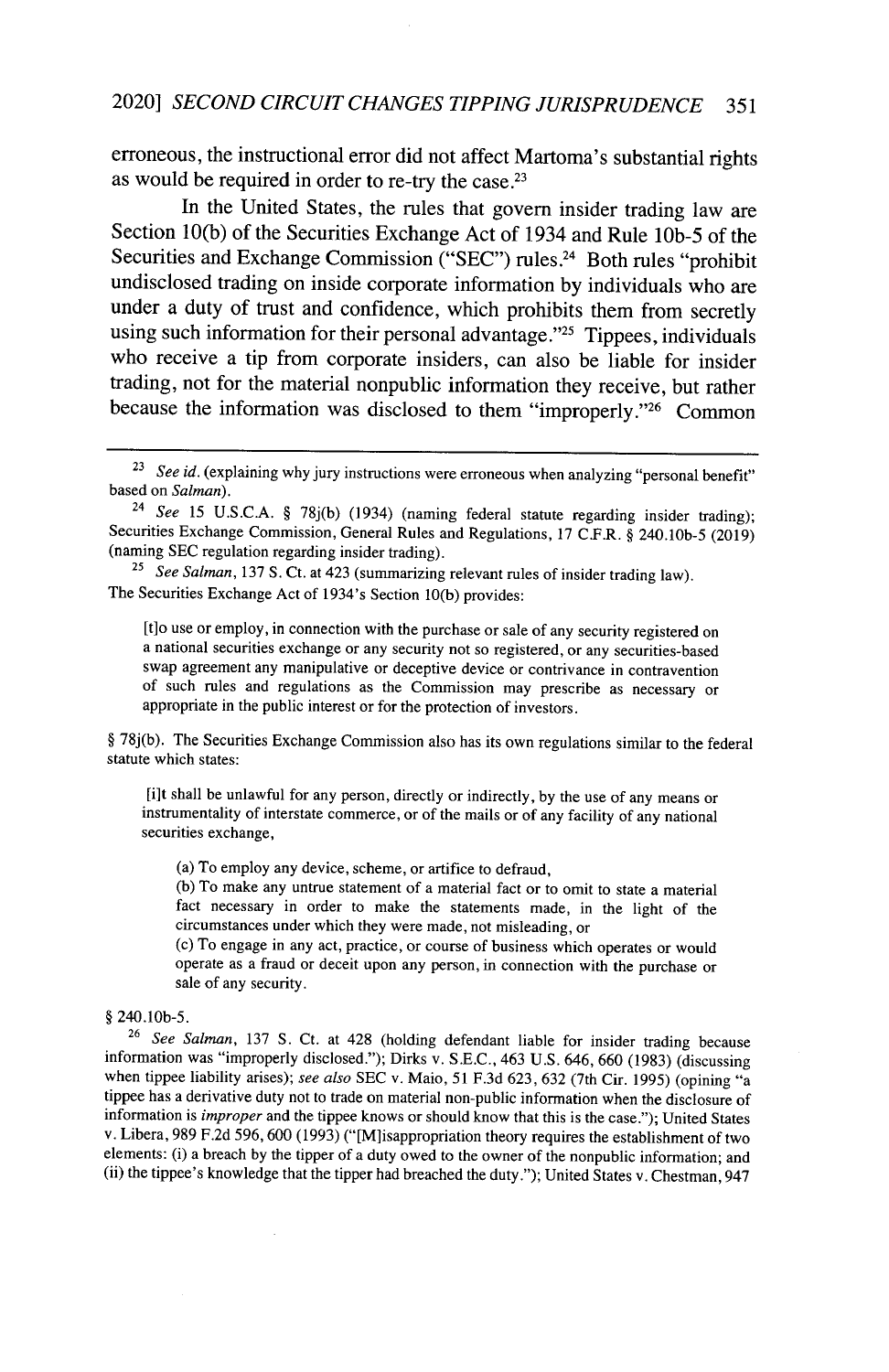erroneous, the instructional error did not affect Martoma's substantial rights as would be required in order to re-try the case **.21**

In the United States, the rules that govern insider trading law are Section **10(b)** of the Securities Exchange Act of 1934 and Rule **lOb-5** of the Securities and Exchange Commission ("SEC") rules.<sup>24</sup> Both rules "prohibit undisclosed trading on inside corporate information **by** individuals who are under a duty of trust and confidence, which prohibits them from secretly using such information for their personal advantage."<sup>25</sup> Tippees, individuals who receive a tip from corporate insiders, can also be liable for insider trading, not for the material nonpublic information they receive, but rather because the information was disclosed to them "improperly."<sup>26</sup> Common

[t]o use or employ, in connection with the purchase or sale of any security registered on a national securities exchange or any security not so registered, or any securities-based swap agreement any manipulative or deceptive device or contrivance in contravention of such rules and regulations as the Commission may prescribe as necessary or appropriate in the public interest or for the protection of investors.

§ 78j(b). The Securities Exchange Commission also has its own regulations similar to the federal statute which states:

[i]t shall be unlawful for any person, directly or indirectly, by the use of any means or instrumentality of interstate commerce, or of the mails or of any facility of any national securities exchange,

(a) To employ any device, scheme, or artifice to defraud,

(b) To make any untrue statement of a material fact or to omit to state a material fact necessary in order to make the statements made, in the light of the circumstances under which they were made, not misleading, or

(c) To engage in any act, practice, or course of business which operates or would operate as a fraud or deceit upon any person, in connection with the purchase or sale of any security.

#### § 240.10b-5.

<sup>26</sup>*See Salman,* 137 **S.** Ct. at 428 (holding defendant liable for insider trading because information was "improperly disclosed."); Dirks v. S.E.C., 463 U.S. 646, 660 (1983) (discussing when tippee liability arises); *see also* SEC v. Maio, 51 F.3d 623, 632 (7th Cir. 1995) (opining "a tippee has a derivative duty not to trade on material non-public information when the disclosure of information is *improper* and the tippee knows or should know that this is the case."); United States v. Libera, 989 F.2d 596, 600 (1993) ("[Mlisappropriation theory requires the establishment of two elements: (i) a breach by the tipper of a duty owed to the owner of the nonpublic information; and (ii) the tippee's knowledge that the tipper had breached the duty."); United States v. Chestman, 947

<sup>&</sup>lt;sup>23</sup> See id. (explaining why jury instructions were erroneous when analyzing "personal benefit" based on *Salman).*

<sup>24</sup>*See* 15 U.S.C.A. § 78j(b) (1934) (naming federal statute regarding insider trading); Securities Exchange Commission, General Rules and Regulations, 17 C.F.R. § 240.10b-5 (2019) (naming SEC regulation regarding insider trading).

<sup>&</sup>lt;sup>25</sup> See Salman, 137 S. Ct. at 423 (summarizing relevant rules of insider trading law). The Securities Exchange Act of 1934's Section 10(b) provides: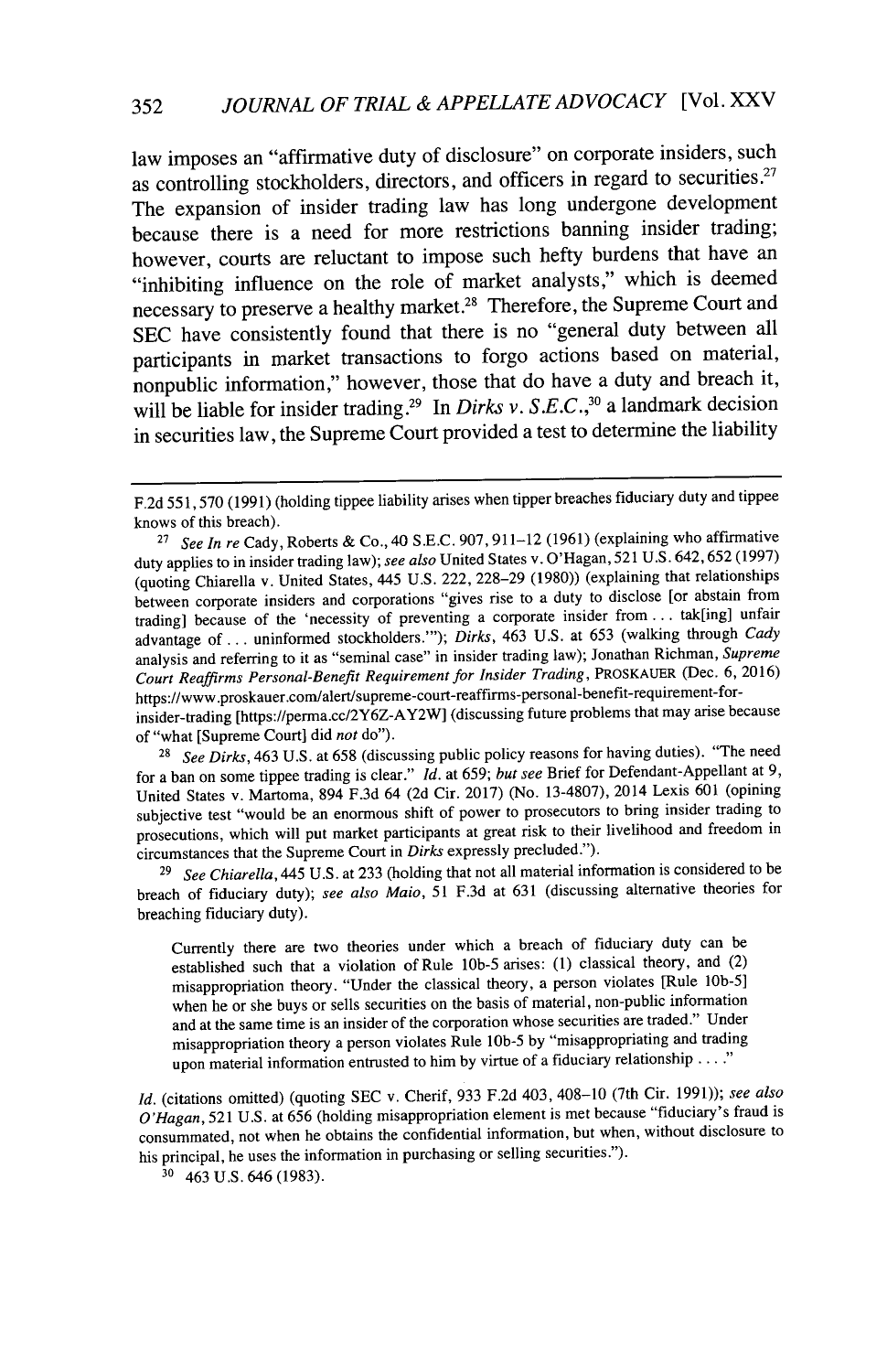law imposes an "affirmative duty of disclosure" on corporate insiders, such as controlling stockholders, directors, and officers in regard to securities **.27** The expansion of insider trading law has long undergone development because there is a need for more restrictions banning insider trading; however, courts are reluctant to impose such hefty burdens that have an "inhibiting influence on the role of market analysts," which is deemed necessary to preserve a healthy market.<sup>28</sup> Therefore, the Supreme Court and **SEC** have consistently found that there is no "general duty between all participants in market transactions to forgo actions based on material, nonpublic information," however, those that do have a duty and breach it, will be liable for insider trading.<sup>29</sup> In *Dirks v. S.E.C.*,<sup>30</sup> a landmark decision in securities law, the Supreme Court provided a test to determine the liability

<sup>28</sup> See Dirks, 463 U.S. at 658 (discussing public policy reasons for having duties). "The need for a ban on some tippee trading is clear." *Id.* at 659; *but see* Brief for Defendant-Appellant at 9, United States v. Martoma, 894 F.3d 64 (2d Cir. 2017) (No. 13-4807), 2014 Lexis 601 (opining subjective test "would be an enormous shift of power to prosecutors to bring insider trading to prosecutions, which will put market participants at great risk to their livelihood and freedom in circumstances that the Supreme Court in *Dirks* expressly precluded.").

<sup>29</sup>*See Chiarella,* 445 U.S. at 233 (holding that not all material information is considered to be breach of fiduciary duty); *see also Maio,* 51 F.3d at 631 (discussing alternative theories for breaching fiduciary duty).

Currently there are two theories under which a breach of fiduciary duty can be established such that a violation of Rule **lOb-5** arises: (1) classical theory, and (2) misappropriation theory. "Under the classical theory, a person violates [Rule lOb-5] when he or she buys or sells securities on the basis of material, non-public information and at the same time is an insider of the corporation whose securities are traded." Under misappropriation theory a person violates Rule **lOb-5** by "misappropriating and trading upon material information entrusted to him by virtue of a fiduciary relationship **.... "**

*Id.* (citations omitted) (quoting SEC v. Cherif, 933 F.2d 403, 408-10 (7th Cir. 1991)); *see also O'Hagan,* 521 U.S. at 656 (holding misappropriation element is met because "fiduciary's fraud is consummated, not when he obtains the confidential information, but when, without disclosure to his principal, he uses the information in purchasing or selling securities.").

30 463 U.S. 646 (1983).

F.2d 551,570 (1991) (holding tippee liability arises when tipper breaches fiduciary duty and tippee knows of this breach).

<sup>27</sup>*See In re* Cady, Roberts & Co., 40 S.E.C. 907, 911-12 (1961) (explaining who affirmative duty applies to in insider trading law); *see also* United States v. O'Hagan, 521 U.S. 642,652 (1997) (quoting Chiarella v. United States, 445 U.S. 222, 228-29 (1980)) (explaining that relationships between corporate insiders and corporations "gives rise to a duty to disclose [or abstain from trading] because of the 'necessity of preventing a corporate insider from **...** tak[ing] unfair advantage of... uninformed stockholders."'); *Dirks,* 463 U.S. at 653 (walking through *Cady* analysis and referring to it as "seminal case" in insider trading law); Jonathan Richman, *Supreme Court Reaffirms Personal-Benefit Requirement for Insider Trading,* PROSKAUER (Dec. 6, 2016) https://www .proskauer.com/alert/supreme-court-reaffirms-personal-benefit-requirement-forinsider-trading [https://perma.cc/2Y6Z-AY2W] (discussing future problems that may arise because of "what [Supreme Court] did *not* do").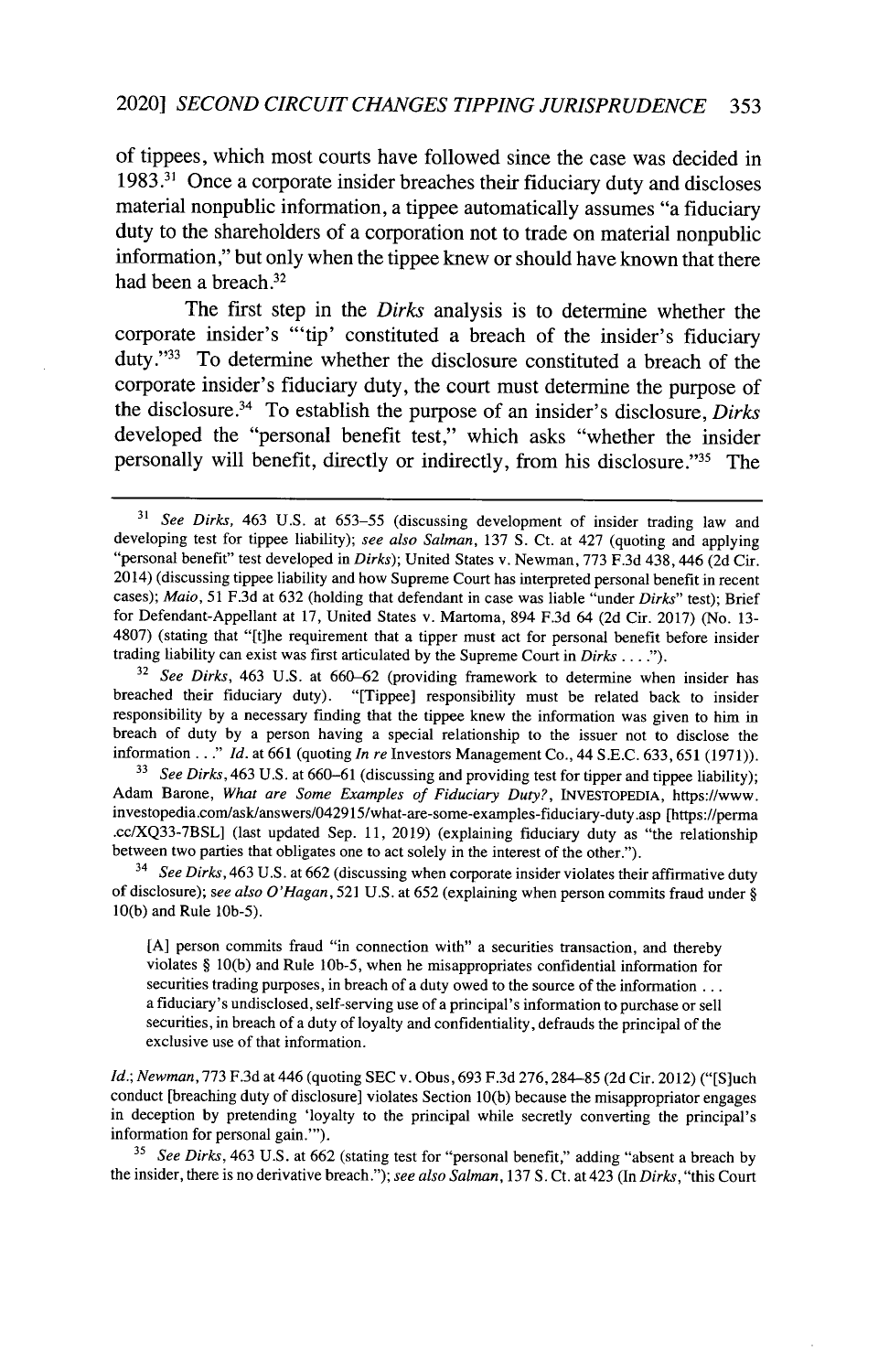## 2020] *SECOND CIRCUIT CHANGES TIPPING JURISPRUDENCE 353*

of tippees, which most courts have followed since the case was decided in **1983. <sup>31</sup>**Once a corporate insider breaches their fiduciary duty and discloses material nonpublic information, a tippee automatically assumes "a fiduciary duty to the shareholders of a corporation not to trade on material nonpublic information," but only when the tippee knew or should have known that there had been a breach.<sup>32</sup>

The first step in the *Dirks* analysis is to determine whether the corporate insider's **"'tip'** constituted a breach of the insider's fiduciary duty **." '3** To determine whether the disclosure constituted a breach of the corporate insider's fiduciary duty, the court must determine the purpose of the disclosure.34 To establish the purpose of an insider's disclosure, **Dirks** developed the "personal benefit test," which asks "whether the insider personally will benefit, directly or indirectly, from his disclosure."<sup>35</sup> The

<sup>33</sup> *See Dirks*, 463 U.S. at 660–61 (discussing and providing test for tipper and tippee liability); Adam Barone, *What are Some Examples of Fiduciary Duty?,* INVESTOPEDIA, https://www. investopedia.com/ask/answers/042915/what-are-some-examples-fiduciary-duty.asp [https://perma .cc/XQ33-7BSL] (last updated Sep. 11, 2019) (explaining fiduciary duty as "the relationship between two parties that obligates one to act solely in the interest of the other.").

<sup>14</sup>*See Dirks,* 463 U.S. at 662 (discussing when corporate insider violates their affirmative duty of disclosure); *see also O'Hagan,* 521 U.S. at 652 (explaining when person commits fraud under § 10(b) and Rule 1Ob-5).

[A] person commits fraud "in connection with" a securities transaction, and thereby violates § 10(b) and Rule lOb-5, when he misappropriates confidential information for securities trading purposes, in breach of a duty owed to the source of the information ... a fiduciary's undisclosed, self-serving use of a principal's information to purchase or sell securities, in breach of a duty of loyalty and confidentiality, defrauds the principal of the exclusive use of that information.

*Id.; Newman,* 773 F.3d at 446 (quoting SEC v. Obus, 693 F.3d 276,284-85 (2d Cir. 2012) ("[S]uch conduct [breaching duty of disclosure] violates Section 10(b) because the misappropriator engages in deception by pretending 'loyalty to the principal while secretly converting the principal's information for personal gain."').

**<sup>35</sup>***See Dirks,* 463 U.S. at 662 (stating test for "personal benefit," adding "absent a breach by the insider, there is no derivative breach."); *see also Salman,* 137 S. Ct. at 423 (In *Dirks,* "this Court

<sup>31</sup>*See Dirks,* 463 U.S. at 653-55 (discussing development of insider trading law and developing test for tippee liability); *see also Salman,* 137 S. Ct. at 427 (quoting and applying "personal benefit" test developed in *Dirks);* United States v. Newman, 773 F.3d 438,446 (2d Cir. 2014) (discussing tippee liability and how Supreme Court has interpreted personal benefit in recent cases); *Maio,* 51 F.3d at 632 (holding that defendant in case was liable "under *Dirks"* test); Brief for Defendant-Appellant at 17, United States v. Martoma, 894 F.3d 64 (2d Cir. 2017) (No. 13- 4807) (stating that "[t]he requirement that a tipper must act for personal benefit before insider trading liability can exist was first articulated by the Supreme Court in Dirks **.... ).**

<sup>&</sup>lt;sup>32</sup> See Dirks, 463 U.S. at 660–62 (providing framework to determine when insider has breached their fiduciary duty). "[Tippee] responsibility must be related back to insider responsibility by a necessary finding that the tippee knew the information was given to him in breach of duty by a person having a special relationship to the issuer not to disclose the information..." *Id.* at 661 (quoting *In re* Investors Management Co., 44 S.E.C. 633, 651 (1971)).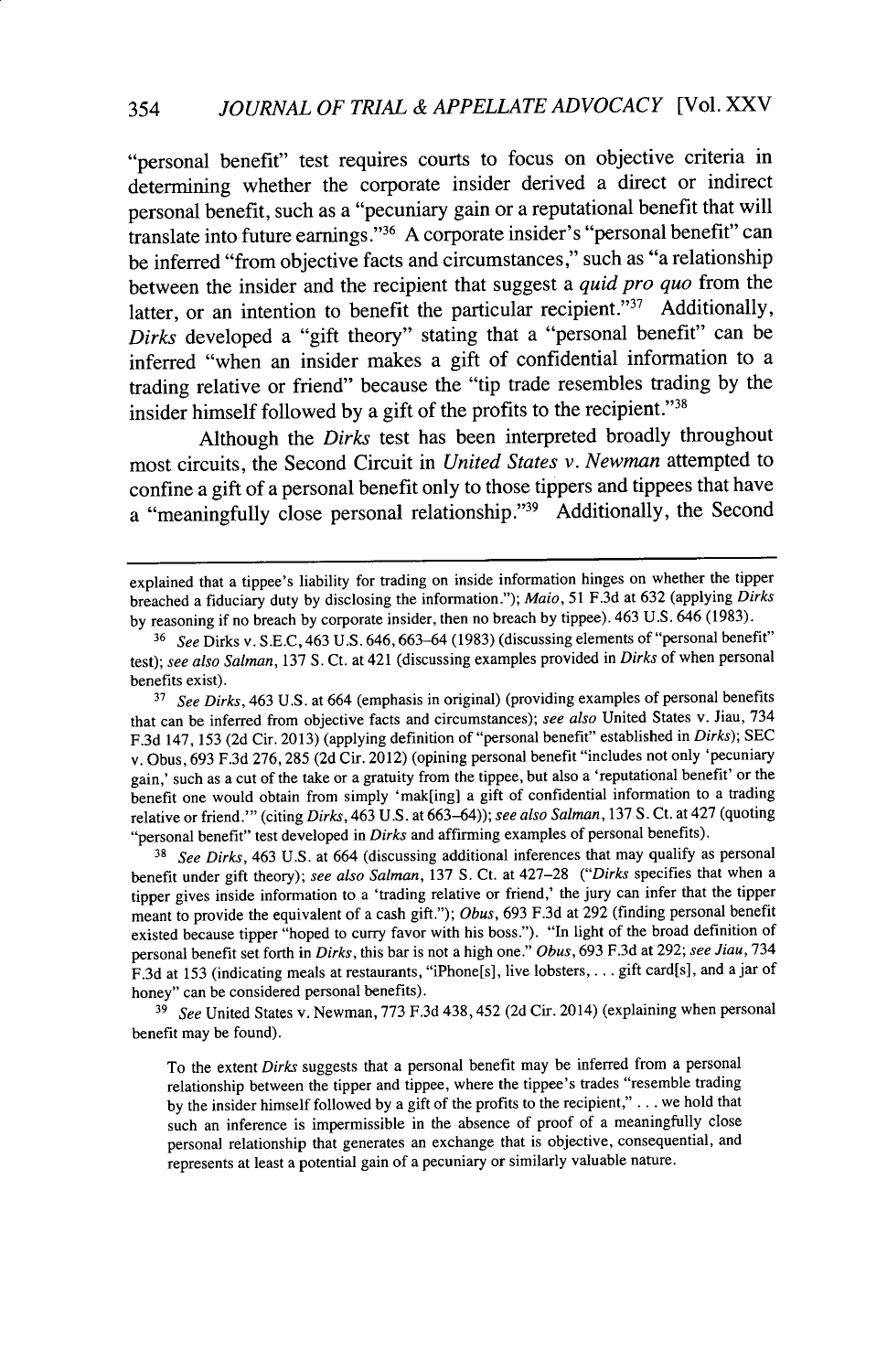"personal benefit" test requires courts to focus on objective criteria in determining whether the corporate insider derived a direct or indirect personal benefit, such as a "pecuniary gain or a reputational benefit that will translate into future earnings. "36 A corporate insider's "personal benefit" can be inferred "from objective facts and circumstances," such as "a relationship between the insider and the recipient that suggest a *quid pro quo* from the latter, or an intention to benefit the particular recipient."<sup>37</sup> Additionally, *Dirks* developed a "gift theory" stating that a "personal benefit" can be inferred "when an insider makes a gift of confidential information to a trading relative or friend" because the "tip trade resembles trading by the insider himself followed by a gift of the profits to the recipient."<sup>38</sup>

Although the *Dirks* test has been interpreted broadly throughout most circuits, the Second Circuit in *United States v. Newman* attempted to confine a gift of a personal benefit only to those tippers and tippees that have a "meaningfully close personal relationship."<sup>39</sup> Additionally, the Second

<sup>38</sup>*See Dirks,* 463 U.S. at 664 (discussing additional inferences that may qualify as personal benefit under gift theory); *see also Salman,* 137 **S.** Ct. at 427-28 *("Dirks* specifies that when a tipper gives inside information to a 'trading relative or friend,' the jury can infer that the tipper meant to provide the equivalent of a cash gift."); *Obus,* 693 F.3d at 292 (finding personal benefit existed because tipper "hoped to curry favor with his boss."). "In light of the broad definition of personal benefit set forth in *Dirks,* this bar is not a high one." *Obus,* 693 **F.3d** at 292; *see Jiau,* <sup>734</sup> F.3d at 153 (indicating meals at restaurants, "iPhone[s], live lobsters, .... gift card[s], and a jar of honey" can be considered personal benefits).

*<sup>39</sup>See* United States v. Newman, 773 F.3d 438,452 (2d Cir. 2014) (explaining when personal benefit may be found).

To the extent *Dirks* suggests that a personal benefit may be inferred from a personal relationship between the tipper and tippee, where the tippee's trades "resemble trading by the insider himself followed by a gift of the profits to the recipient," **.** .. we hold that such an inference is impermissible in the absence of proof of a meaningfully close personal relationship that generates an exchange that is objective, consequential, and represents at least a potential gain of a pecuniary or similarly valuable nature.

explained that a tippee's liability for trading on inside information hinges on whether the tipper breached a fiduciary duty by disclosing the information."); *Maio,* 51 F.3d at 632 (applying *Dirks* by reasoning if no breach by corporate insider, then no breach by tippee). 463 U.S. 646 (1983).

<sup>36</sup>*See* Dirks v. S.E.C, 463 U.S. 646,663-64 (1983) (discussing elements of "personal benefit" test); *see also Salman,* 137 **S.** Ct. at 421 (discussing examples provided in *Dirks* of when personal benefits exist).

**<sup>37</sup>***See Dirks,* 463 U.S. at 664 (emphasis in original) (providing examples of personal benefits that can be inferred from objective facts and circumstances); *see also* United States v. Jiau, 734 F.3d 147, 153 (2d Cir. 2013) (applying definition of "personal benefit" established in *Dirks);* SEC v. Obus, 693 F.3d 276,285 (2d Cir. 2012) (opining personal benefit "includes not only 'pecuniary gain,' such as a cut of the take or a gratuity from the tippee, but also a 'reputational benefit' or the benefit one would obtain from simply 'mak[ing] a gift of confidential information to a trading relative or friend."' (citing *Dirks,* 463 U.S. at 663-64)); *see also Salman,* 137 **S.** Ct. at 427 (quoting "personal benefit" test developed in *Dirks* and affirming examples of personal benefits).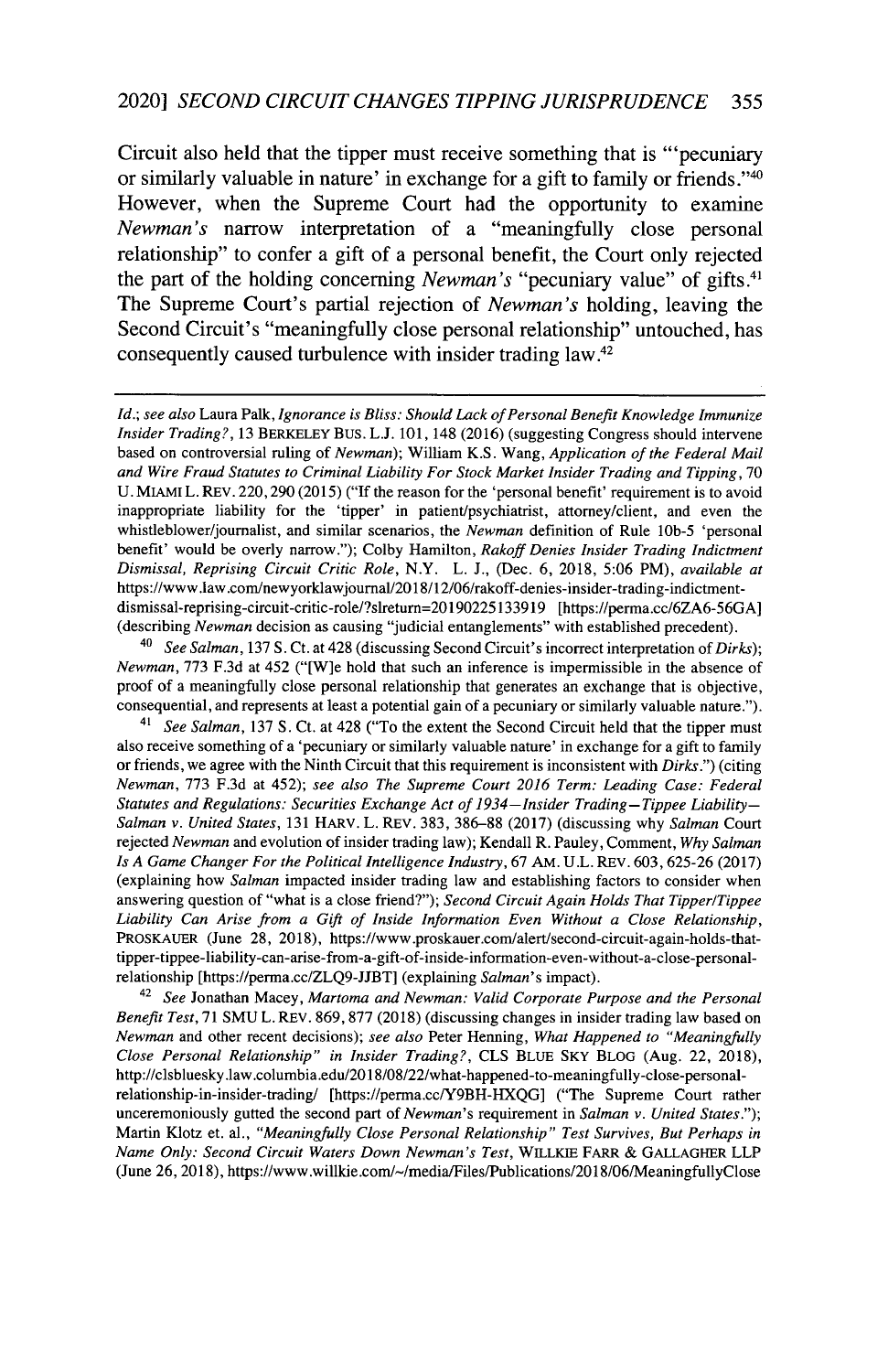Circuit also held that the tipper must receive something that is "'pecuniary or similarly valuable in nature' in exchange for a gift to family or friends."40 However, when the Supreme Court had the opportunity to examine *Newman's* narrow interpretation of a "meaningfully close personal relationship" to confer a gift of a personal benefit, the Court only rejected the part of the holding concerning *Newman's* "pecuniary value" of gifts.<sup>41</sup> The Supreme Court's partial rejection of *Newman's* holding, leaving the Second Circuit's "meaningfully close personal relationship" untouched, has consequently caused turbulence with insider trading law **.42**

*Id.; see also* Laura Palk, *Ignorance is Bliss: Should Lack of Personal Benefit Knowledge Immunize Insider Trading?,* 13 BERKELEY BUS. L.J. 101, 148 (2016) (suggesting Congress should intervene based on controversial ruling of *Newman);* William K.S. Wang, *Application of the Federal Mail and Wire Fraud Statutes to Criminal Liability For Stock Market Insider Trading and Tipping,* 70 U. MIAMI L. REV. 220,290 (2015) ("If the reason for the 'personal benefit' requirement is to avoid inappropriate liability for the 'tipper' in patient/psychiatrist, attorney/client, and even the whistleblower/journalist, and similar scenarios, the *Newman* definition of Rule 10b-5 'personal benefit' would be overly narrow."); Colby Hamilton, *Rakoff Denies Insider Trading Indictment Dismissal, Reprising Circuit Critic Role,* N.Y. L. J., (Dec. 6, 2018, 5:06 PM), *available at* https://www.law.com/newyorklawjournal/20l 8/12/06/rakoff-denies-insider-trading-indictmentdismissal-reprising-circuit-critic-role/?slreturn=20190225133919 [https://perma.cc/6ZA6-56GA] (describing *Newman* decision as causing "judicial entanglements" with established precedent).

<sup>40</sup>*See Salman,* 137 S. Ct. at 428 (discussing Second Circuit's incorrect interpretation of *Dirks); Newman,* 773 F.3d at 452 ("[W]e hold that such an inference is impermissible in the absence of proof of a meaningfully close personal relationship that generates an exchange that is objective, consequential, and represents at least a potential gain of a pecuniary or similarly valuable nature.").

<sup>41</sup>*See Salman,* 137 **S.** Ct. at 428 ("To the extent the Second Circuit held that the tipper must also receive something of a 'pecuniary or similarly valuable nature' in exchange for a gift to family or friends, we agree with the Ninth Circuit that this requirement is inconsistent with *Dirks.")* (citing *Newman,* 773 F.3d at 452); *see also The Supreme Court 2016 Term: Leading Case: Federal Statutes and Regulations: Securities Exchange Act of 1934 -Insider Trading- Tippee Liability-Salman v. United States,* 131 HARv. L. REV. 383, 386-88 (2017) (discussing why *Salman* Court rejected *Newman* and evolution of insider trading law); Kendall R. Pauley, Comment, *Why Salman Is A Game Changer For the Political Intelligence Industry,* 67 AM. U.L. REV. 603,625-26 (2017) (explaining how *Salman* impacted insider trading law and establishing factors to consider when answering question of "what is a close friend?"); *Second Circuit Again Holds That Tipper/Tippee Liability Can Arise from a Gift of Inside Information Even Without a Close Relationship,* PROSKATER (June 28, 2018), https://www.proskauer.com/alert/second-circuit-again-holds-thattipper-tippee-liability-can-arise-from-a-gift-of-inside-information-even-without-a-close-persnalrelationship [https://penna.cc/ZLQ9-JJBT] (explaining *Salman's* impact).

<sup>42</sup>*See* Jonathan Macey, *Martoma and Newman: Valid Corporate Purpose and the Personal Benefit Test,* 71 SMU L. REV. 869,877 (2018) (discussing changes in insider trading law based on *Newman* and other recent decisions); *see also* Peter Henning, *What Happened to "Meaningfully Close Personal Relationship" in Insider Trading?,* CLS BLUE SKY BLOG (Aug. 22, 2018), http://clsbluesky.law.columbia.edu/2018/08/22/what-happened-to-meaningfully-close-personalrelationship-in-insider-trading/ [https://perma.cc/Y9BH-HXQG] ("The Supreme Court rather unceremoniously gutted the second part of *Newman's* requirement in *Salman v. United States."*); Martin Klotz et. al., *"Meaningfully Close Personal Relationship" Test Survives, But Perhaps in Name Only: Second Circuit Waters Down Newman's Test,* WILLKIE FARR & GALLAGHER LLP (June 26, 2018), https://www.willkie.com/~/media/Files/Publications/2018/06/MeaningfullyClose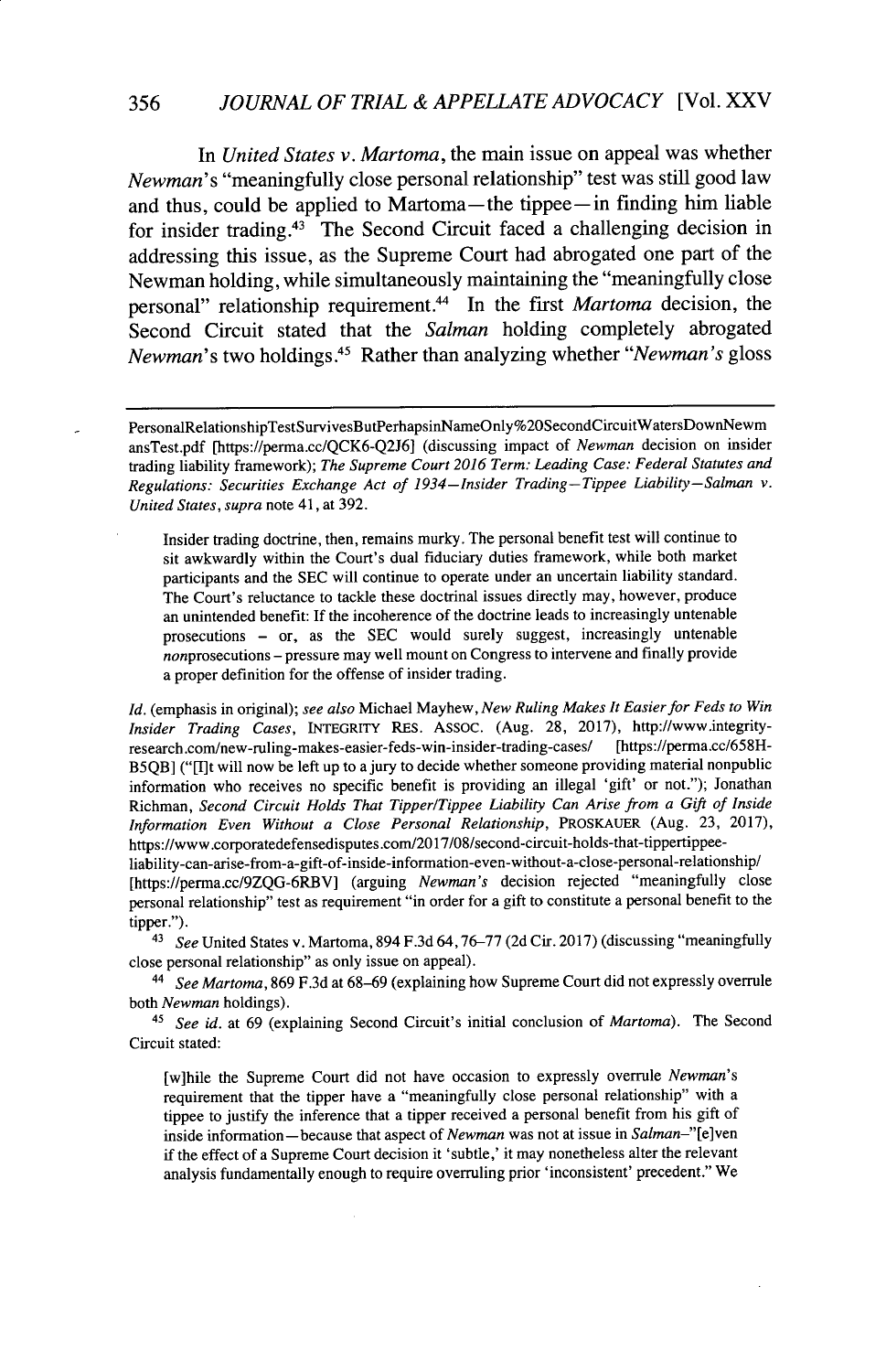356 *JOURNAL OF TRIAL & APPELLATE ADVOCACY* [Vol. XXV

*In United States v. Martoma,* the main issue on appeal was whether *Newman's* "meaningfully close personal relationship" test was still good law and thus, could be applied to Martoma—the tippee—in finding him liable for insider trading. $43$  The Second Circuit faced a challenging decision in addressing this issue, as the Supreme Court had abrogated one part of the Newman holding, while simultaneously maintaining the "meaningfully close personal" relationship requirement.<sup>44</sup> In the first *Martoma* decision, the Second Circuit stated that the *Salman* holding completely abrogated *Newman's* two holdings **. <sup>45</sup>**Rather than analyzing whether *"Newman's* gloss

Insider trading doctrine, then, remains murky. The personal benefit test will continue to sit awkwardly within the Court's dual fiduciary duties framework, while both market participants and the SEC will continue to operate under an uncertain liability standard. The Court's reluctance to tackle these doctrinal issues directly may, however, produce an unintended benefit: If the incoherence of the doctrine leads to increasingly untenable prosecutions - or, as the SEC would surely suggest, increasingly untenable nonprosecutions - pressure may well mount on Congress to intervene and finally provide a proper definition for the offense of insider trading.

*Id.* (emphasis in original); *see also* Michael Mayhew, *New Ruling Makes It Easier for Feds to Win Insider Trading Cases,* INTEGRITY RES. ASSOC. (Aug. 28, 2017), http://www.integrityresearch.com/new-ruling-makes-easier-feds-win-insider-trading-cases/ B5QB] ("[I]t will now be left up to a jury to decide whether someone providing material nonpublic information who receives no specific benefit is providing an illegal 'gift' or not."); Jonathan Richman, *Second Circuit Holds That Tipper/Tippee Liability Can Arise from a* Gift *of Inside Information Even Without a Close Personal Relationship,* PROSKAUER (Aug. 23, 2017), https://www.corporatedefensedisputes.com/2017/08/second-circuit-holds-that-tippertippee-

liability-can-arise-from-a-gift-of-inside-information-even-without-a-close-personal-relationship/ [https://perma.cc/9ZQG-6RBV] (arguing *Newman's* decision rejected "meaningfully close personal relationship" test as requirement "in order for a gift to constitute a personal benefit to the tipper.").

43 *See* United States v. Martoma, 894 F.3d 64,76-77 (2d Cir. 2017) (discussing "meaningfully close personal relationship" as only issue on appeal).

44 *See Martoma,* 869 F.3d at 68-69 (explaining how Supreme Court did not expressly overrule both *Newman* holdings).

45 *See id.* at 69 (explaining Second Circuit's initial conclusion of *Martoma).* The Second Circuit stated:

[w]hile the Supreme Court did not have occasion to expressly overrule *Newman's* requirement that the tipper have a "meaningfully close personal relationship" with a tippee to justify the inference that a tipper received a personal benefit from his gift of inside information-because that aspect of *Newman* was not at issue in *Salman-"[e]ven* if the effect of a Supreme Court decision it 'subtle,' it may nonetheless alter the relevant analysis fundamentally enough to require overruling prior 'inconsistent' precedent." We

PersonalRelationshipTestSurvivesButPerhapsinNameOnly%20SecondCircuitWatersDownNewm ansTest.pdf [https://perma.cc/QCK6-Q2J6] (discussing impact of *Newman* decision on insider trading liability framework); *The Supreme Court 2016 Term: Leading Case: Federal Statutes and Regulations: Securities Exchange Act of 1934-Insider Trading-Tippee Liability-Salman v. United States, supra* note 41, at 392.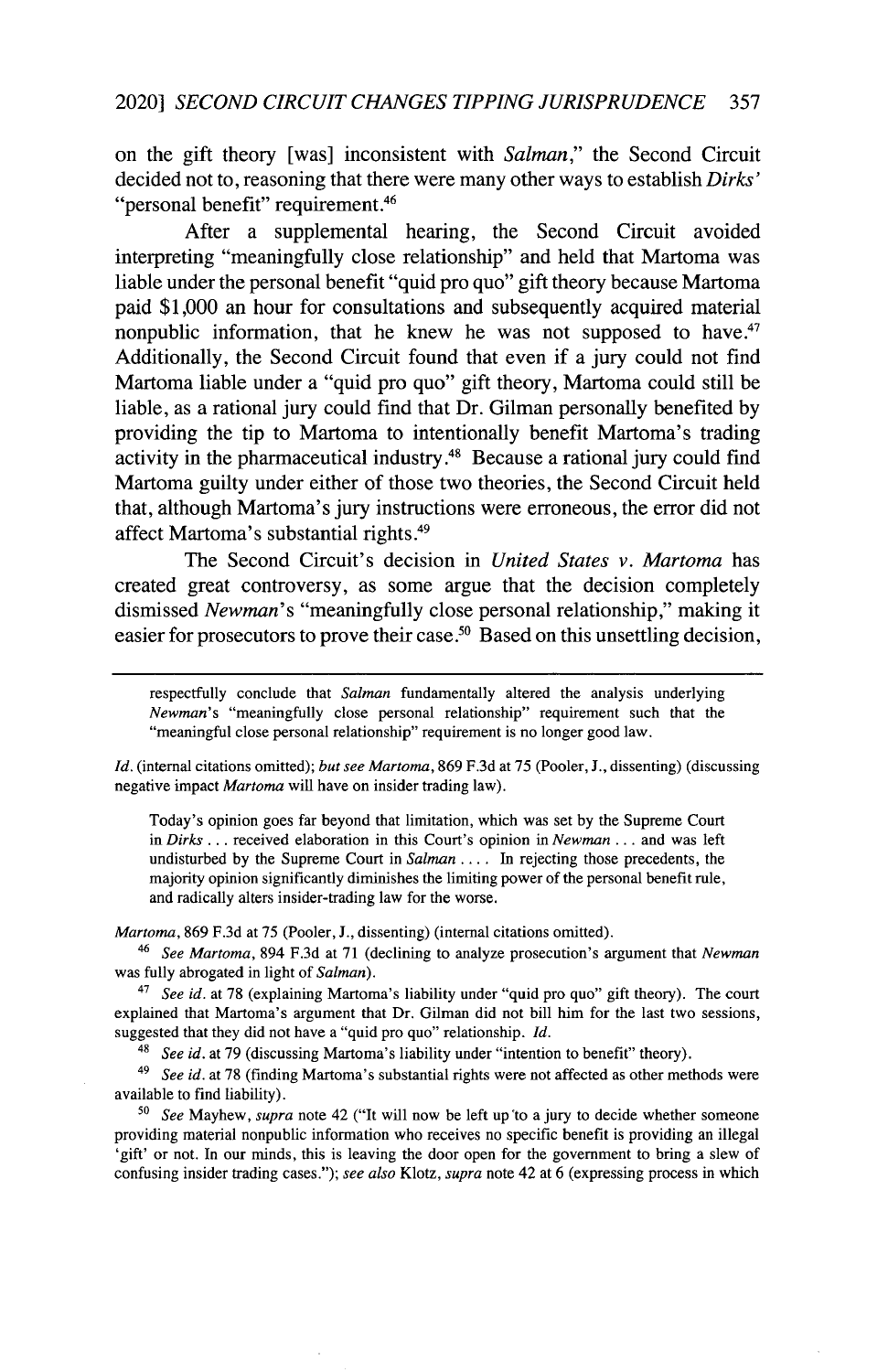on the gift theory [was] inconsistent with *Salman,"* the Second Circuit decided not to, reasoning that there were many other ways to establish *Dirks'* "personal benefit" requirement. <sup>46</sup>

After a supplemental hearing, the Second Circuit avoided interpreting "meaningfully close relationship" and held that Martoma was liable under the personal benefit "quid pro quo" gift theory because Martoma paid **\$1,000** an hour for consultations and subsequently acquired material nonpublic information, that he knew he was not supposed to have. $47$ Additionally, the Second Circuit found that even if a jury could not find Martoma liable under a "quid pro quo" gift theory, Martoma could still be liable, as a rational jury could find that Dr. Gilman personally benefited **by** providing the tip to Martoma to intentionally benefit Martoma's trading activity in the pharmaceutical industry **.48** Because a rational jury could find Martoma guilty under either of those two theories, the Second Circuit held that, although Martoma's jury instructions were erroneous, the error did not affect Martoma's substantial rights.<sup>49</sup>

The Second Circuit's decision in *United States v. Martoma* has created great controversy, as some argue that the decision completely dismissed *Newman's* "meaningfully close personal relationship," making it easier for prosecutors to prove their case.50 Based on this unsettling decision,

respectfully conclude that *Salman* fundamentally altered the analysis underlying *Newman's* "meaningfully close personal relationship" requirement such that the "meaningful close personal relationship" requirement is no longer good law.

*Id.* (internal citations omitted); *but see Martoma,* 869 F.3d at 75 (Pooler, J., dissenting) (discussing negative impact *Martoma* will have on insider trading law).

Today's opinion goes far beyond that limitation, which was set by the Supreme Court in Dirks... received elaboration in this Court's opinion in *Newman* ... and was left undisturbed by the Supreme Court in *Salman* .... In rejecting those precedents, the majority opinion significantly diminishes the limiting power of the personal benefit rule, and radically alters insider-trading law for the worse.

*Martoma,* 869 F.3d at 75 (Pooler, J., dissenting) (internal citations omitted).

*<sup>46</sup>See Martoma,* 894 F.3d at 71 (declining to analyze prosecution's argument that *Newman* was fully abrogated in light of *Salman).*

<sup>47</sup>*See id.* at 78 (explaining Martoma's liability under "quid pro quo" gift theory). The court explained that Martoma's argument that Dr. Gilman did not bill him for the last two sessions, suggested that they did not have a "quid pro quo" relationship. *Id.*

48 *See id.* at 79 (discussing Martoma's liability under "intention to benefit" theory).

<sup>49</sup>*See id.* at 78 (finding Martoma's substantial rights were not affected as other methods were available to find liability).

**<sup>50</sup>***See* Mayhew, *supra* note 42 ("It will now be left up to a jury to decide whether someone providing material nonpublic information who receives no specific benefit is providing an illegal 'gift' or not. In our minds, this is leaving the door open for the government to bring a slew of confusing insider trading cases."); *see also* Klotz, *supra* note 42 at 6 (expressing process in which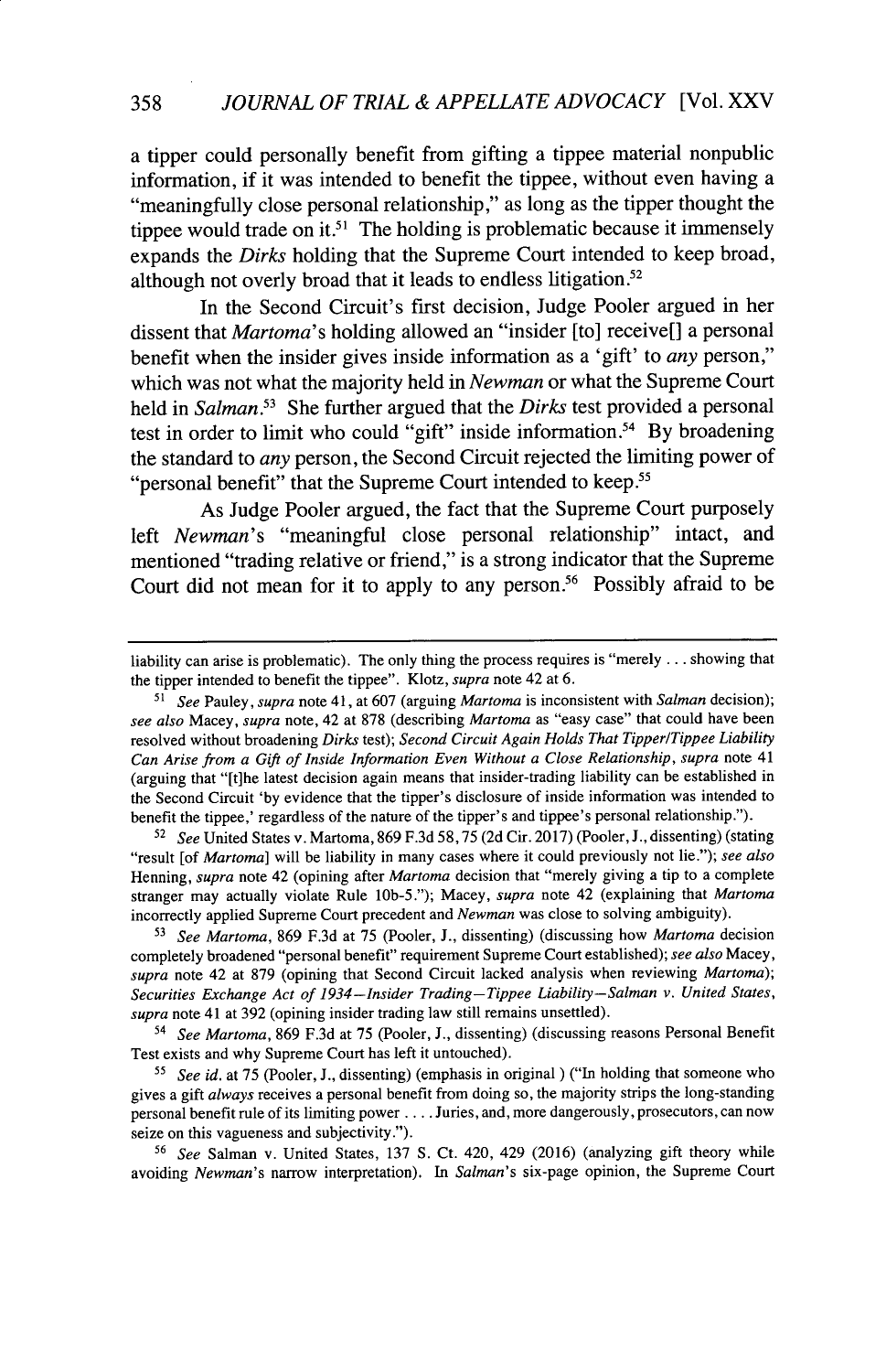a tipper could personally benefit from gifting a tippee material nonpublic information, if it was intended to benefit the tippee, without even having a "meaningfully close personal relationship," as long as the tipper thought the tippee would trade on it.<sup>51</sup> The holding is problematic because it immensely expands the *Dirks* holding that the Supreme Court intended to keep broad, although not overly broad that it leads to endless litigation.<sup>52</sup>

In the Second Circuit's first decision, Judge Pooler argued in her dissent that *Martoma's* holding allowed an "insider [to] receive[] a personal benefit when the insider gives inside information as a 'gift' to *any* person," which was not what the majority held in *Newman* or what the Supreme Court held in *Salman*.<sup>53</sup> She further argued that the *Dirks* test provided a personal test in order to limit who could "gift" inside information.54 **By** broadening the standard to *any* person, the Second Circuit rejected the limiting power of "personal benefit" that the Supreme Court intended to keep.<sup>55</sup>

As Judge Pooler argued, the fact that the Supreme Court purposely left *Newman's* "meaningful close personal relationship" intact, and mentioned "trading relative or friend," is a strong indicator that the Supreme Court did not mean for it to apply to any person.<sup>56</sup> Possibly afraid to be

<sup>52</sup>*See* United States v. Martoma, 869 F.3d 58, 75 (2d Cir. 2017) (Pooler, J., dissenting) (stating "result [of *Martoma]* will be liability in many cases where it could previously not lie."); *see also* Henning, *supra* note 42 (opining after *Martoma* decision that "merely giving a tip to a complete stranger may actually violate Rule lOb-5."); Macey, *supra* note 42 (explaining that *Martoma* incorrectly applied Supreme Court precedent and *Newman* was close to solving ambiguity).

**<sup>53</sup>***See Martoma,* 869 F.3d at 75 (Pooler, J., dissenting) (discussing how *Martoma* decision completely broadened "personal benefit" requirement Supreme Court established); *see also* Macey, *supra* note 42 at 879 (opining that Second Circuit lacked analysis when reviewing *Martoma); Securities Exchange Act of 1934-Insider Trading-Tippee Liability--Salman v. United States, supra* note 41 at 392 (opining insider trading law still remains unsettled).

<sup>54</sup>*See Martoma,* 869 F.3d at 75 (Pooler, J., dissenting) (discussing reasons Personal Benefit Test exists and why Supreme Court has left it untouched).

*<sup>55</sup>See id.* at 75 (Pooler, J., dissenting) (emphasis in original ) ("In holding that someone who gives a gift *always* receives a personal benefit from doing so, the majority strips the long-standing personal benefit rule of its limiting power .... Juries, and, more dangerously, prosecutors, can now seize on this vagueness and subjectivity.").

<sup>56</sup>*See* Salman v. United States, 137 **S.** Ct. 420, 429 (2016) (analyzing gift theory while avoiding *Newman's* narrow interpretation). In *Salman's* six-page opinion, the Supreme Court

liability can arise is problematic). The only thing the process requires is "merely ... showing that the tipper intended to benefit the tippee". Klotz, supra note 42 at 6.

<sup>51</sup>*See* Pauley, *supra* note 41, at 607 (arguing *Martoma* is inconsistent with *Salman* decision); *see also* Macey, *supra* note, 42 at 878 (describing *Martoma* as "easy case" that could have been resolved without broadening *Dirks* test); *Second Circuit Again Holds That Tipper/Tippee Liability Can Arise from a Gift of Inside Information Even Without a Close Relationship, supra* note 41 (arguing that "[t]he latest decision again means that insider-trading liability can be established in the Second Circuit 'by evidence that the tipper's disclosure of inside information was intended to benefit the tippee,' regardless of the nature of the tipper's and tippee's personal relationship.").